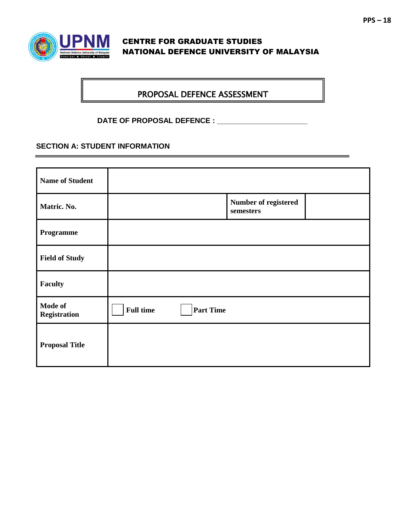

## CENTRE FOR GRADUATE STUDIES NATIONAL DEFENCE UNIVERSITY OF MALAYSIA

## PROPOSAL DEFENCE ASSESSMENT

**DATE OF PROPOSAL DEFENCE : \_\_\_\_\_\_\_\_\_\_\_\_\_\_\_\_\_\_\_\_\_\_**

## **SECTION A: STUDENT INFORMATION**

| <b>Name of Student</b>  |                  |                  |                                   |  |
|-------------------------|------------------|------------------|-----------------------------------|--|
| Matric. No.             |                  |                  | Number of registered<br>semesters |  |
| Programme               |                  |                  |                                   |  |
| <b>Field of Study</b>   |                  |                  |                                   |  |
| <b>Faculty</b>          |                  |                  |                                   |  |
| Mode of<br>Registration | <b>Full time</b> | <b>Part Time</b> |                                   |  |
| <b>Proposal Title</b>   |                  |                  |                                   |  |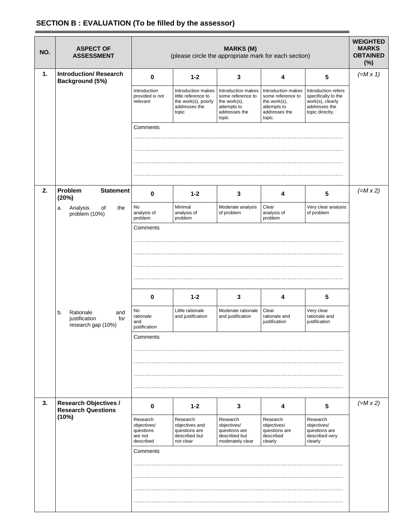## **SECTION B : EVALUATION (To be filled by the assessor)**

| NO. | <b>ASPECT OF</b><br><b>ASSESSMENT</b>                                | <b>MARKS (M)</b><br>(please circle the appropriate mark for each section) |                                                                                            |                                                                                                  | <b>WEIGHTED</b><br><b>MARKS</b><br><b>OBTAINED</b><br>(%)                                         |                                                                                                    |                 |
|-----|----------------------------------------------------------------------|---------------------------------------------------------------------------|--------------------------------------------------------------------------------------------|--------------------------------------------------------------------------------------------------|---------------------------------------------------------------------------------------------------|----------------------------------------------------------------------------------------------------|-----------------|
| 1.  | <b>Introduction/ Research</b><br>Background (5%)                     | $\bf{0}$                                                                  | $1 - 2$                                                                                    | 3                                                                                                | 4                                                                                                 | 5                                                                                                  | $(=M \times 1)$ |
|     |                                                                      | Introduction<br>provided is not<br>relevant                               | Introduction makes<br>little reference to<br>the work(s), poorly<br>addresses the<br>topic | Introduction makes<br>some reference to<br>the work(s),<br>attempts to<br>addresses the<br>topic | Introduction makes<br>some reference to<br>the work(s),<br>attempts to<br>addresses the<br>topic. | Introduction refers<br>specifically to the<br>work(s), clearly<br>addresses the<br>topic directly. |                 |
|     |                                                                      | Comments                                                                  |                                                                                            |                                                                                                  |                                                                                                   |                                                                                                    |                 |
|     |                                                                      |                                                                           |                                                                                            |                                                                                                  |                                                                                                   |                                                                                                    |                 |
|     |                                                                      |                                                                           |                                                                                            |                                                                                                  |                                                                                                   |                                                                                                    |                 |
|     |                                                                      |                                                                           |                                                                                            |                                                                                                  |                                                                                                   |                                                                                                    |                 |
| 2.  | Problem<br><b>Statement</b><br>(20%)                                 | $\bf{0}$                                                                  | $1 - 2$                                                                                    | 3                                                                                                | 4                                                                                                 | 5                                                                                                  | $(=M \times 2)$ |
|     | of<br>the<br>Analysis<br>a.<br>problem (10%)                         | No<br>analysis of<br>problem                                              | Minimal<br>analysis of<br>problem                                                          | Moderate analysis<br>of problem                                                                  | Clear<br>analysis of<br>problem                                                                   | Very clear analysis<br>of problem                                                                  |                 |
|     |                                                                      | Comments                                                                  |                                                                                            |                                                                                                  |                                                                                                   |                                                                                                    |                 |
|     |                                                                      |                                                                           |                                                                                            |                                                                                                  |                                                                                                   |                                                                                                    |                 |
|     |                                                                      |                                                                           |                                                                                            |                                                                                                  |                                                                                                   |                                                                                                    |                 |
|     |                                                                      |                                                                           |                                                                                            |                                                                                                  |                                                                                                   |                                                                                                    |                 |
|     |                                                                      |                                                                           |                                                                                            |                                                                                                  |                                                                                                   |                                                                                                    |                 |
|     |                                                                      | $\pmb{0}$                                                                 | $1 - 2$                                                                                    | 3                                                                                                | 4                                                                                                 | 5                                                                                                  |                 |
|     | b.<br>Rationale<br>and<br>justification<br>for<br>research gap (10%) | No<br>rationale<br>and<br>justification                                   | Little rationale<br>and justification                                                      | Moderate rationale<br>and justification                                                          | Clear<br>rationale and<br>justification                                                           | Very clear<br>rationale and<br>justification                                                       |                 |
|     |                                                                      | Comments                                                                  |                                                                                            |                                                                                                  |                                                                                                   |                                                                                                    |                 |
|     |                                                                      |                                                                           |                                                                                            |                                                                                                  |                                                                                                   |                                                                                                    |                 |
|     |                                                                      |                                                                           |                                                                                            |                                                                                                  |                                                                                                   |                                                                                                    |                 |
|     |                                                                      |                                                                           |                                                                                            |                                                                                                  |                                                                                                   |                                                                                                    |                 |
| 3.  | <b>Research Objectives /</b><br><b>Research Questions</b>            | $\mathbf 0$                                                               | $1 - 2$                                                                                    | 3                                                                                                | 4                                                                                                 | $5\phantom{.0}$                                                                                    | $(=M \times 2)$ |
|     | (10%)                                                                | Research<br>objectives/<br>questions<br>are not<br>described              | Research<br>objectives and<br>questions are<br>described but<br>not clear                  | Research<br>objectives/<br>questions are<br>described but<br>moderately clear                    | Research<br>objectives/<br>questions are<br>described<br>clearly                                  | Research<br>objectives/<br>questions are<br>described very<br>clearly                              |                 |
|     |                                                                      | Comments                                                                  |                                                                                            |                                                                                                  |                                                                                                   |                                                                                                    |                 |
|     |                                                                      |                                                                           |                                                                                            |                                                                                                  |                                                                                                   |                                                                                                    |                 |
|     |                                                                      |                                                                           |                                                                                            |                                                                                                  |                                                                                                   |                                                                                                    |                 |
|     |                                                                      |                                                                           |                                                                                            |                                                                                                  |                                                                                                   |                                                                                                    |                 |
|     |                                                                      |                                                                           |                                                                                            |                                                                                                  |                                                                                                   |                                                                                                    |                 |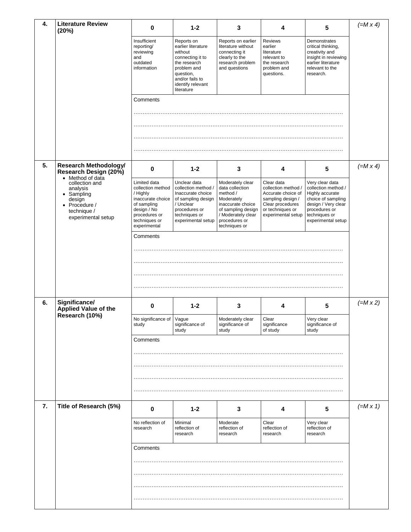| 4. | <b>Literature Review</b><br>(20%)                                                                                            | 0                                                                                                                                                  | $1 - 2$                                                                                                                                                           | 3                                                                                                                                                                | 4                                                                                                                                          | 5                                                                                                                                                              | $(=M \times 4)$ |
|----|------------------------------------------------------------------------------------------------------------------------------|----------------------------------------------------------------------------------------------------------------------------------------------------|-------------------------------------------------------------------------------------------------------------------------------------------------------------------|------------------------------------------------------------------------------------------------------------------------------------------------------------------|--------------------------------------------------------------------------------------------------------------------------------------------|----------------------------------------------------------------------------------------------------------------------------------------------------------------|-----------------|
|    |                                                                                                                              | Insufficient<br>reporting/<br>reviewing<br>and<br>outdated<br>information                                                                          | Reports on<br>earlier literature<br>without<br>connecting it to<br>the research<br>problem and<br>question,<br>and/or fails to<br>identify relevant<br>literature | Reports on earlier<br>literature without<br>connecting it<br>clearly to the<br>research problem<br>and questions                                                 | Reviews<br>earlier<br>literature<br>relevant to<br>the research<br>problem and<br>questions.                                               | Demonstrates<br>critical thinking,<br>creativity and<br>insight in reviewing<br>earlier literature<br>relevant to the<br>research.                             |                 |
|    |                                                                                                                              | Comments                                                                                                                                           |                                                                                                                                                                   |                                                                                                                                                                  |                                                                                                                                            |                                                                                                                                                                |                 |
|    |                                                                                                                              |                                                                                                                                                    |                                                                                                                                                                   |                                                                                                                                                                  |                                                                                                                                            |                                                                                                                                                                |                 |
| 5. | <b>Research Methodology/</b><br>Research Design (20%)                                                                        | 0                                                                                                                                                  | $1 - 2$                                                                                                                                                           | 3                                                                                                                                                                | 4                                                                                                                                          | $5\phantom{.0}$                                                                                                                                                | $(=M \times 4)$ |
|    | • Method of data<br>collection and<br>analysis<br>• Sampling<br>design<br>• Procedure /<br>technique /<br>experimental setup | Limited data<br>collection method<br>/ Highly<br>inaccurate choice<br>of sampling<br>design / No<br>procedures or<br>techniques or<br>experimental | Unclear data<br>collection method /<br>Inaccurate choice<br>of sampling design<br>/ Unclear<br>procedures or<br>techniques or<br>experimental setup               | Moderately clear<br>data collection<br>method /<br>Moderately<br>inaccurate choice<br>of sampling design<br>/ Moderately clear<br>procedures or<br>techniques or | Clear data<br>collection method /<br>Accurate choice of<br>sampling design /<br>Clear procedures<br>or techniques or<br>experimental setup | Very clear data<br>collection method /<br>Highly accurate<br>choice of sampling<br>design / Very clear<br>procedures or<br>techniques or<br>experimental setup |                 |
|    |                                                                                                                              | Comments                                                                                                                                           |                                                                                                                                                                   |                                                                                                                                                                  |                                                                                                                                            |                                                                                                                                                                |                 |
|    | Significance/                                                                                                                |                                                                                                                                                    |                                                                                                                                                                   |                                                                                                                                                                  |                                                                                                                                            |                                                                                                                                                                |                 |
| 6. | Applied Value of the<br>Research (10%)                                                                                       | 0<br>No significance of Vague<br>study                                                                                                             | $1 - 2$<br>significance of                                                                                                                                        | 3<br>Moderately clear<br>significance of                                                                                                                         | 4<br>Clear<br>significance                                                                                                                 | 5<br>Very clear<br>significance of                                                                                                                             | $(=M \times 2)$ |
|    |                                                                                                                              | Comments                                                                                                                                           | study                                                                                                                                                             | study                                                                                                                                                            | of study                                                                                                                                   | study                                                                                                                                                          |                 |
| 7. | Title of Research (5%)                                                                                                       | 0                                                                                                                                                  | $1 - 2$                                                                                                                                                           | 3                                                                                                                                                                | 4                                                                                                                                          | 5                                                                                                                                                              | $(=M \times 1)$ |
|    |                                                                                                                              | No reflection of<br>research                                                                                                                       | Minimal<br>reflection of<br>research                                                                                                                              | Moderate<br>reflection of<br>research                                                                                                                            | Clear<br>reflection of<br>research                                                                                                         | Very clear<br>reflection of<br>research                                                                                                                        |                 |
|    |                                                                                                                              | Comments                                                                                                                                           |                                                                                                                                                                   |                                                                                                                                                                  |                                                                                                                                            |                                                                                                                                                                |                 |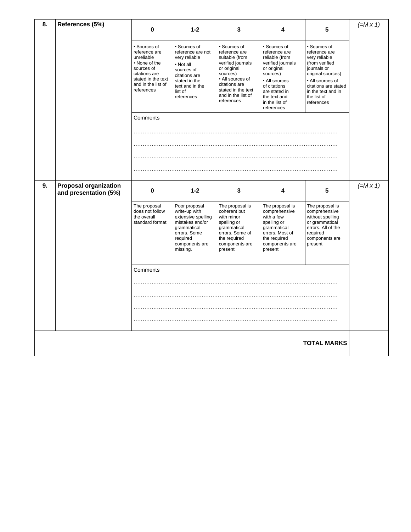| 8. | References (5%)                                       | $\bf{0}$                                                                                                                                              | $1 - 2$                                                                                                                                                     | 3                                                                                                                                                                                              | 4                                                                                                                                                                                                 | 5                                                                                                                                                                                                   | $(=M \times 1)$ |
|----|-------------------------------------------------------|-------------------------------------------------------------------------------------------------------------------------------------------------------|-------------------------------------------------------------------------------------------------------------------------------------------------------------|------------------------------------------------------------------------------------------------------------------------------------------------------------------------------------------------|---------------------------------------------------------------------------------------------------------------------------------------------------------------------------------------------------|-----------------------------------------------------------------------------------------------------------------------------------------------------------------------------------------------------|-----------------|
|    |                                                       | • Sources of<br>reference are<br>unreliable<br>• None of the<br>sources of<br>citations are<br>stated in the text<br>and in the list of<br>references | • Sources of<br>reference are not<br>very reliable<br>• Not all<br>sources of<br>citations are<br>stated in the<br>text and in the<br>list of<br>references | · Sources of<br>reference are<br>suitable (from<br>verified journals<br>or original<br>sources)<br>• All sources of<br>citations are<br>stated in the text<br>and in the list of<br>references | · Sources of<br>reference are<br>reliable (from<br>verified journals<br>or original<br>sources)<br>• All sources<br>of citations<br>are stated in<br>the text and<br>in the list of<br>references | • Sources of<br>reference are<br>very reliable<br>(from verified<br>journals or<br>original sources)<br>• All sources of<br>citations are stated<br>in the text and in<br>the list of<br>references |                 |
|    |                                                       | Comments                                                                                                                                              |                                                                                                                                                             |                                                                                                                                                                                                |                                                                                                                                                                                                   |                                                                                                                                                                                                     |                 |
|    |                                                       |                                                                                                                                                       |                                                                                                                                                             |                                                                                                                                                                                                |                                                                                                                                                                                                   |                                                                                                                                                                                                     |                 |
| 9. | <b>Proposal organization</b><br>and presentation (5%) | 0                                                                                                                                                     | $1 - 2$                                                                                                                                                     | 3                                                                                                                                                                                              | 4                                                                                                                                                                                                 | 5                                                                                                                                                                                                   | $(=M \times 1)$ |
|    |                                                       | The proposal<br>does not follow<br>the overall<br>standard format                                                                                     | Poor proposal<br>write-up with<br>extensive spelling<br>mistakes and/or<br>grammatical<br>errors. Some<br>required<br>components are<br>missing.            | The proposal is<br>coherent but<br>with minor<br>spelling or<br>grammatical<br>errors. Some of<br>the required<br>components are<br>present                                                    | The proposal is<br>comprehensive<br>with a few<br>spelling or<br>grammatical<br>errors. Most of<br>the required<br>components are<br>present                                                      | The proposal is<br>comprehensive<br>without spelling<br>or grammatical<br>errors. All of the<br>required<br>components are<br>present                                                               |                 |
|    |                                                       | Comments                                                                                                                                              |                                                                                                                                                             |                                                                                                                                                                                                |                                                                                                                                                                                                   |                                                                                                                                                                                                     |                 |
|    |                                                       |                                                                                                                                                       |                                                                                                                                                             |                                                                                                                                                                                                |                                                                                                                                                                                                   |                                                                                                                                                                                                     |                 |
|    |                                                       |                                                                                                                                                       |                                                                                                                                                             |                                                                                                                                                                                                |                                                                                                                                                                                                   |                                                                                                                                                                                                     |                 |
|    |                                                       |                                                                                                                                                       |                                                                                                                                                             |                                                                                                                                                                                                |                                                                                                                                                                                                   | <b>TOTAL MARKS</b>                                                                                                                                                                                  |                 |